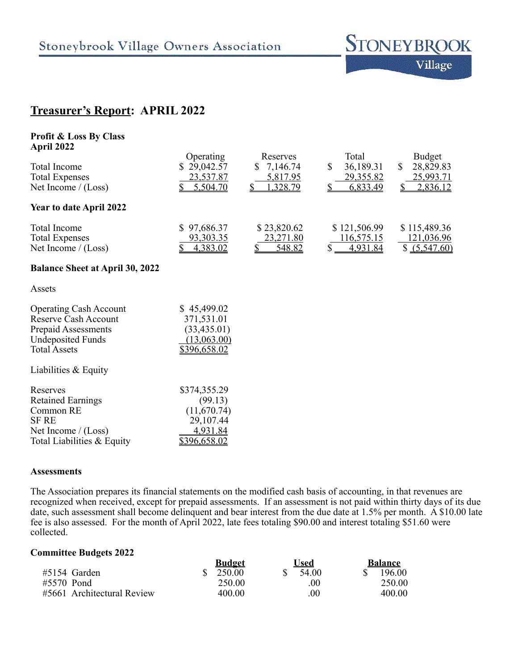

# **Treasurer's Report: APRIL 2022**

| <b>Profit &amp; Loss By Class</b><br>April 2022                                                                                 |                                                                          |                                                  |                                                               |                                                           |
|---------------------------------------------------------------------------------------------------------------------------------|--------------------------------------------------------------------------|--------------------------------------------------|---------------------------------------------------------------|-----------------------------------------------------------|
| <b>Total Income</b><br><b>Total Expenses</b><br>Net Income $/(Loss)$                                                            | Operating<br>29,042.57<br>23,537.87<br>5,504.70                          | Reserves<br>7,146.74<br>S.<br>5,817.95<br>328.79 | Total<br>\$<br>36,189.31<br>29,355.82<br>6,833.49             | <b>Budget</b><br>\$<br>28,829.83<br>25,993.71<br>2,836.12 |
| Year to date April 2022                                                                                                         |                                                                          |                                                  |                                                               |                                                           |
| <b>Total Income</b><br><b>Total Expenses</b><br>Net Income $/(Loss)$                                                            | \$97,686.37<br><u>93,303.35</u><br>\$<br>4,383.02                        | \$23,820.62<br>23,271.80<br>\$<br><u>548.82</u>  | \$121,506.99<br><u>116,575.15</u><br>$\mathbb{S}$<br>4,931.84 | \$115,489.36<br><u>121,036.96</u><br>\$ (5,547.60)        |
| <b>Balance Sheet at April 30, 2022</b>                                                                                          |                                                                          |                                                  |                                                               |                                                           |
| Assets                                                                                                                          |                                                                          |                                                  |                                                               |                                                           |
| <b>Operating Cash Account</b><br>Reserve Cash Account<br>Prepaid Assessments<br><b>Undeposited Funds</b><br><b>Total Assets</b> | \$45,499.02<br>371,531.01<br>(33, 435.01)<br>(13,063.00)<br>\$396,658.02 |                                                  |                                                               |                                                           |
| Liabilities & Equity                                                                                                            |                                                                          |                                                  |                                                               |                                                           |
| Reserves<br><b>Retained Earnings</b><br>Common RE<br><b>SF RE</b><br>Net Income $/(Loss)$                                       | \$374,355.29<br>(99.13)<br>(11,670.74)<br>29,107.44<br>4,931.84          |                                                  |                                                               |                                                           |

## **Assessments**

The Association prepares its financial statements on the modified cash basis of accounting, in that revenues are recognized when received, except for prepaid assessments. If an assessment is not paid within thirty days of its due date, such assessment shall become delinquent and bear interest from the due date at 1.5% per month. A \$10.00 late fee is also assessed. For the month of April 2022, late fees totaling \$90.00 and interest totaling \$51.60 were collected.

# **Committee Budgets 2022**

Total Liabilities & Equity \$396,658.02

|                            | <b>Budget</b> | ∪sed    | <b>Balance</b> |
|----------------------------|---------------|---------|----------------|
| #5154 Garden               | 250.00        | 54.00   | 196.00         |
| #5570 Pond                 | 250.00        | 00      | 250.00         |
| #5661 Architectural Review | 400.00        | $.00\,$ | 400.00         |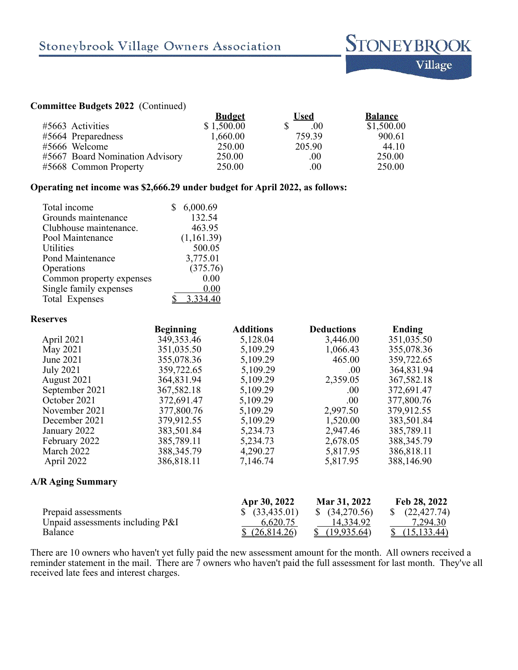#### **Committee Budgets 2022** (Continued)

| <b>Budget</b>                             | Used   | <b>Balance</b> |
|-------------------------------------------|--------|----------------|
| \$1,500.00                                | .00.   | \$1,500.00     |
| 1,660.00                                  | 759 39 | 900.61         |
| 250.00                                    | 205.90 | 44 10          |
| #5667 Board Nomination Advisory<br>250.00 | .00.   | 250.00         |
| 250.00                                    | .00    | 250.00         |
|                                           |        |                |

# **Operating net income was \$2,666.29 under budget for April 2022, as follows:**

| 6,000.69   |
|------------|
| 132.54     |
| 463.95     |
| (1,161.39) |
| 500.05     |
| 3,775.01   |
| (375.76)   |
| 0.00       |
| 0.00       |
|            |
|            |

#### **Reserves**

|                  | <b>Beginning</b> | <b>Additions</b> | <b>Deductions</b> | Ending       |
|------------------|------------------|------------------|-------------------|--------------|
| April 2021       | 349, 353. 46     | 5,128.04         | 3,446.00          | 351,035.50   |
| May 2021         | 351,035.50       | 5,109.29         | 1,066.43          | 355,078.36   |
| June 2021        | 355,078.36       | 5,109.29         | 465.00            | 359,722.65   |
| <b>July 2021</b> | 359,722.65       | 5,109.29         | .00               | 364,831.94   |
| August 2021      | 364,831.94       | 5,109.29         | 2,359.05          | 367,582.18   |
| September 2021   | 367,582.18       | 5,109.29         | .00.              | 372,691.47   |
| October 2021     | 372,691.47       | 5,109.29         | .00               | 377,800.76   |
| November 2021    | 377,800.76       | 5,109.29         | 2,997.50          | 379,912.55   |
| December 2021    | 379,912.55       | 5,109.29         | 1,520.00          | 383,501.84   |
| January 2022     | 383,501.84       | 5,234.73         | 2,947.46          | 385,789.11   |
| February 2022    | 385,789.11       | 5,234.73         | 2,678.05          | 388, 345. 79 |
| March 2022       | 388, 345. 79     | 4,290.27         | 5,817.95          | 386,818.11   |
| April 2022       | 386,818.11       | 7,146.74         | 5,817.95          | 388,146.90   |

# **A/R Aging Summary**

|                                  | Apr 30, 2022     | Mar 31, 2022     | Feb 28, 2022            |
|----------------------------------|------------------|------------------|-------------------------|
| Prepaid assessments              | $\$$ (33,435.01) | $\$$ (34,270.56) | (22, 427, 74)           |
| Unpaid assessments including P&I | 6,620.75         | 14.334.92        | 7,294.30                |
| Balance                          | \$(26,814.26)    | $\{19.935.64\}$  | $\frac{(15,133,44)}{2}$ |

There are 10 owners who haven't yet fully paid the new assessment amount for the month. All owners received a reminder statement in the mail. There are 7 owners who haven't paid the full assessment for last month. They've all received late fees and interest charges.